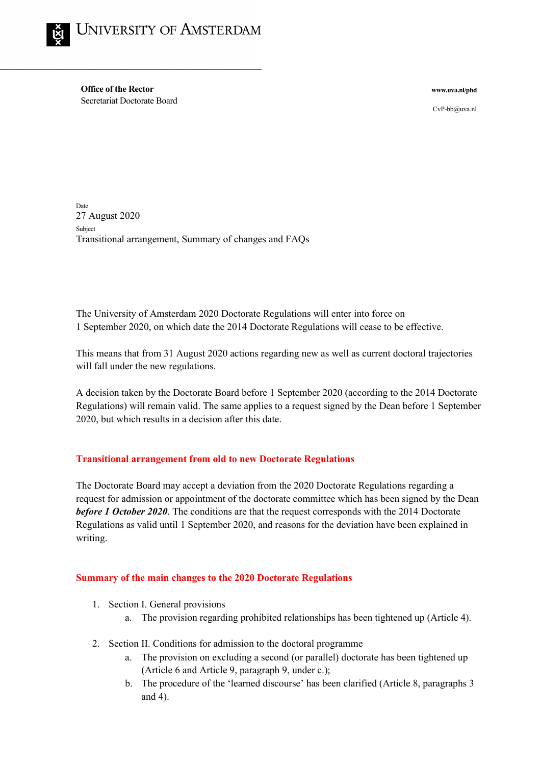

**Office of the Rector** Secretariat Doctorate Board

**www.uva.nl/phd**

CvP-bb@uva.nl

Date 27 August 2020 Subject Transitional arrangement, Summary of changes and FAQs

The University of Amsterdam 2020 Doctorate Regulations will enter into force on 1 September 2020, on which date the 2014 Doctorate Regulations will cease to be effective.

This means that from 31 August 2020 actions regarding new as well as current doctoral trajectories will fall under the new regulations.

A decision taken by the Doctorate Board before 1 September 2020 (according to the 2014 Doctorate Regulations) will remain valid. The same applies to a request signed by the Dean before 1 September 2020, but which results in a decision after this date.

## **Transitional arrangement from old to new Doctorate Regulations**

The Doctorate Board may accept a deviation from the 2020 Doctorate Regulations regarding a request for admission or appointment of the doctorate committee which has been signed by the Dean *before 1 October 2020*. The conditions are that the request corresponds with the 2014 Doctorate Regulations as valid until 1 September 2020, and reasons for the deviation have been explained in writing.

## **Summary of the main changes to the 2020 Doctorate Regulations**

- 1. Section I. General provisions
	- a. The provision regarding prohibited relationships has been tightened up (Article 4).
- 2. Section II. Conditions for admission to the doctoral programme
	- a. The provision on excluding a second (or parallel) doctorate has been tightened up (Article 6 and Article 9, paragraph 9, under c.);
	- b. The procedure of the 'learned discourse' has been clarified (Article 8, paragraphs 3 and 4).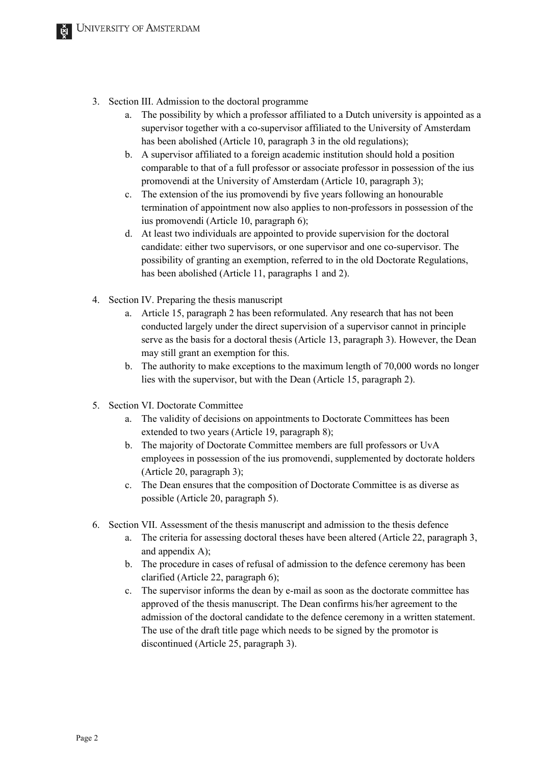- 3. Section III. Admission to the doctoral programme
	- a. The possibility by which a professor affiliated to a Dutch university is appointed as a supervisor together with a co-supervisor affiliated to the University of Amsterdam has been abolished (Article 10, paragraph 3 in the old regulations);
	- b. A supervisor affiliated to a foreign academic institution should hold a position comparable to that of a full professor or associate professor in possession of the ius promovendi at the University of Amsterdam (Article 10, paragraph 3);
	- c. The extension of the ius promovendi by five years following an honourable termination of appointment now also applies to non-professors in possession of the ius promovendi (Article 10, paragraph 6);
	- d. At least two individuals are appointed to provide supervision for the doctoral candidate: either two supervisors, or one supervisor and one co-supervisor. The possibility of granting an exemption, referred to in the old Doctorate Regulations, has been abolished (Article 11, paragraphs 1 and 2).
- 4. Section IV. Preparing the thesis manuscript
	- a. Article 15, paragraph 2 has been reformulated. Any research that has not been conducted largely under the direct supervision of a supervisor cannot in principle serve as the basis for a doctoral thesis (Article 13, paragraph 3). However, the Dean may still grant an exemption for this.
	- b. The authority to make exceptions to the maximum length of 70,000 words no longer lies with the supervisor, but with the Dean (Article 15, paragraph 2).
- 5. Section VI. Doctorate Committee
	- a. The validity of decisions on appointments to Doctorate Committees has been extended to two years (Article 19, paragraph 8);
	- b. The majority of Doctorate Committee members are full professors or UvA employees in possession of the ius promovendi, supplemented by doctorate holders (Article 20, paragraph 3);
	- c. The Dean ensures that the composition of Doctorate Committee is as diverse as possible (Article 20, paragraph 5).
- 6. Section VII. Assessment of the thesis manuscript and admission to the thesis defence
	- a. The criteria for assessing doctoral theses have been altered (Article 22, paragraph 3, and appendix A);
	- b. The procedure in cases of refusal of admission to the defence ceremony has been clarified (Article 22, paragraph 6);
	- c. The supervisor informs the dean by e-mail as soon as the doctorate committee has approved of the thesis manuscript. The Dean confirms his/her agreement to the admission of the doctoral candidate to the defence ceremony in a written statement. The use of the draft title page which needs to be signed by the promotor is discontinued (Article 25, paragraph 3).